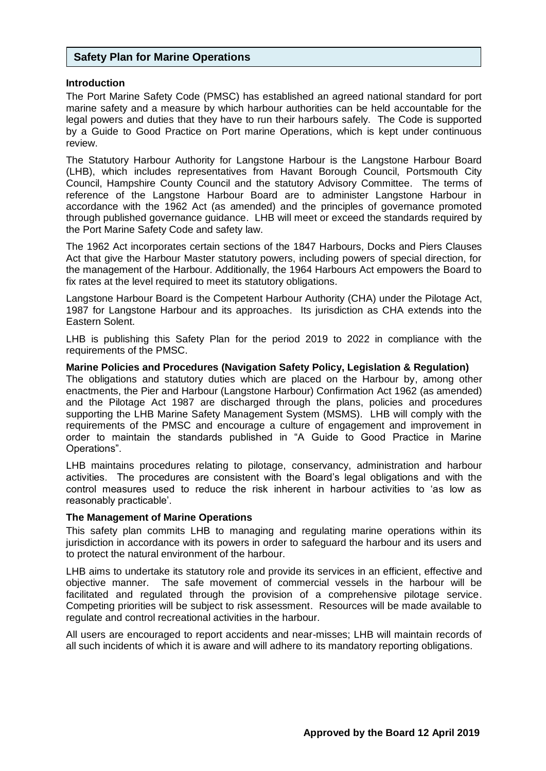### **Safety Plan for Marine Operations**

#### **Introduction**

The Port Marine Safety Code (PMSC) has established an agreed national standard for port marine safety and a measure by which harbour authorities can be held accountable for the legal powers and duties that they have to run their harbours safely. The Code is supported by a Guide to Good Practice on Port marine Operations, which is kept under continuous review.

The Statutory Harbour Authority for Langstone Harbour is the Langstone Harbour Board (LHB), which includes representatives from Havant Borough Council, Portsmouth City Council, Hampshire County Council and the statutory Advisory Committee. The terms of reference of the Langstone Harbour Board are to administer Langstone Harbour in accordance with the 1962 Act (as amended) and the principles of governance promoted through published governance guidance. LHB will meet or exceed the standards required by the Port Marine Safety Code and safety law.

The 1962 Act incorporates certain sections of the 1847 Harbours, Docks and Piers Clauses Act that give the Harbour Master statutory powers, including powers of special direction, for the management of the Harbour. Additionally, the 1964 Harbours Act empowers the Board to fix rates at the level required to meet its statutory obligations.

Langstone Harbour Board is the Competent Harbour Authority (CHA) under the Pilotage Act, 1987 for Langstone Harbour and its approaches. Its jurisdiction as CHA extends into the Eastern Solent.

LHB is publishing this Safety Plan for the period 2019 to 2022 in compliance with the requirements of the PMSC.

**Marine Policies and Procedures (Navigation Safety Policy, Legislation & Regulation)**

The obligations and statutory duties which are placed on the Harbour by, among other enactments, the Pier and Harbour (Langstone Harbour) Confirmation Act 1962 (as amended) and the Pilotage Act 1987 are discharged through the plans, policies and procedures supporting the LHB Marine Safety Management System (MSMS). LHB will comply with the requirements of the PMSC and encourage a culture of engagement and improvement in order to maintain the standards published in "A Guide to Good Practice in Marine Operations".

LHB maintains procedures relating to pilotage, conservancy, administration and harbour activities. The procedures are consistent with the Board's legal obligations and with the control measures used to reduce the risk inherent in harbour activities to 'as low as reasonably practicable'.

#### **The Management of Marine Operations**

This safety plan commits LHB to managing and regulating marine operations within its jurisdiction in accordance with its powers in order to safeguard the harbour and its users and to protect the natural environment of the harbour.

LHB aims to undertake its statutory role and provide its services in an efficient, effective and objective manner. The safe movement of commercial vessels in the harbour will be facilitated and regulated through the provision of a comprehensive pilotage service. Competing priorities will be subject to risk assessment. Resources will be made available to regulate and control recreational activities in the harbour.

All users are encouraged to report accidents and near-misses; LHB will maintain records of all such incidents of which it is aware and will adhere to its mandatory reporting obligations.